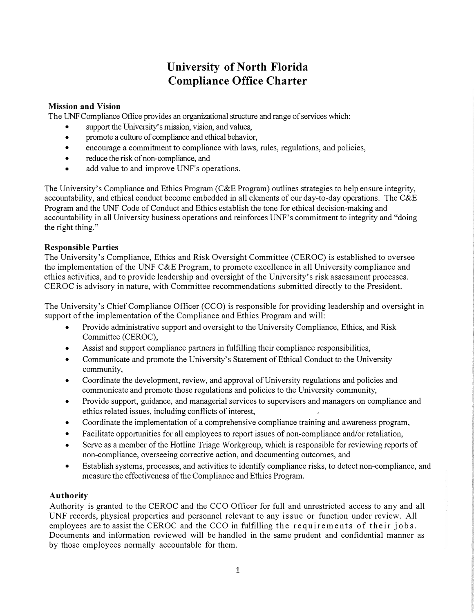# **University of North Florida Compliance Office Charter**

# **Mission and Vision**

The UNF Compliance Office provides an organizational structure and range of services which:

- support the University's mission, vision, and values,
- promote a culture of compliance and ethical behavior,
- encourage a commitment to compliance with laws, rules, regulations, and policies,
- reduce the risk of non-compliance, and
- add value to and improve UNF's operations.

The University's Compliance and Ethics Program (C&E Program) outlines strategies to help ensure integrity, accountability, and ethical conduct become embedded in all elements of our day-to-day operations. The C&E Program and the UNF Code of Conduct and Ethics establish the tone for ethical decision-making and accountability in all University business operations and reinforces UNF's commitment to integrity and "doing the right thing."

## **Responsible Parties**

The University's Compliance, Ethics and Risk Oversight Committee (CEROC) is established to oversee the implementation of the UNF C&E Program, to promote excellence in all University compliance and ethics activities, and to provide leadership and oversight of the University's risk assessment processes. CEROC is advisory in nature, with Committee recommendations submitted directly to the President.

The University's Chief Compliance Officer (CCO) is responsible for providing leadership and oversight in support of the implementation of the Compliance and Ethics Program and will:

- Provide administrative support and oversight to the University Compliance, Ethics, and Risk Committee (CEROC),
- Assist and support compliance partners in fulfilling their compliance responsibilities,
- Communicate and promote the University's Statement of Ethical Conduct to the University community,
- Coordinate the development, review, and approval of University regulations and policies and communicate and promote those regulations and policies to the University community,
- Provide support, guidance, and managerial services to supervisors and managers on compliance and ethics related issues, including conflicts of interest,
- Coordinate the implementation of a comprehensive compliance training and awareness program,
- Facilitate opportunities for all employees to report issues of non-compliance and/or retaliation,
- Serve as a member of the Hotline Triage Workgroup, which is responsible for reviewing reports of non-compliance, overseeing corrective action, and documenting outcomes, and
- Establish systems, processes, and activities to identify compliance risks, to detect non-compliance, and measure the effectiveness of the Compliance and Ethics Program.

## **Authority**

Authority is granted to the CEROC and the CCO Officer for full and unrestricted access to any and all UNF records, physical properties and personnel relevant to any issue or function under review. All employees are to assist the CEROC and the CCO in fulfilling the requirements of their jobs. Documents and information reviewed will be handled in the same prudent and confidential manner as by those employees normally accountable for them.